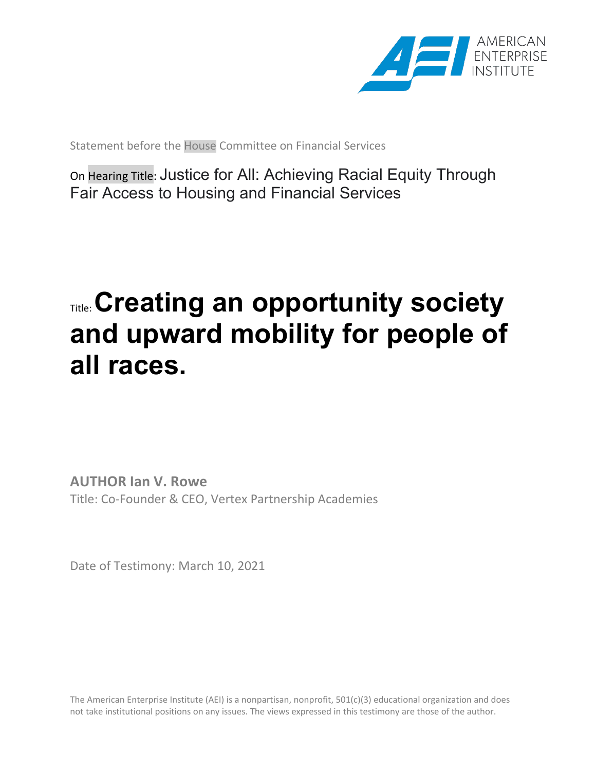

Statement before the House Committee on Financial Services

On Hearing Title: Justice for All: Achieving Racial Equity Through Fair Access to Housing and Financial Services

## Title: **Creating an opportunity society and upward mobility for people of all races.**

**AUTHOR Ian V. Rowe** Title: Co-Founder & CEO, Vertex Partnership Academies

Date of Testimony: March 10, 2021

The American Enterprise Institute (AEI) is a nonpartisan, nonprofit, 501(c)(3) educational organization and does not take institutional positions on any issues. The views expressed in this testimony are those of the author.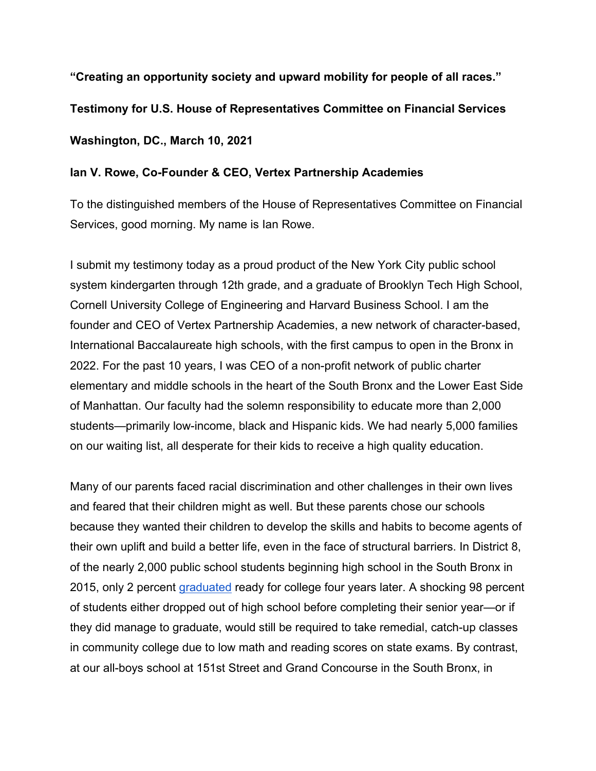**"Creating an opportunity society and upward mobility for people of all races." Testimony for U.S. House of Representatives Committee on Financial Services Washington, DC., March 10, 2021**

## **Ian V. Rowe, Co-Founder & CEO, Vertex Partnership Academies**

To the distinguished members of the House of Representatives Committee on Financial Services, good morning. My name is Ian Rowe.

I submit my testimony today as a proud product of the New York City public school system kindergarten through 12th grade, and a graduate of Brooklyn Tech High School, Cornell University College of Engineering and Harvard Business School. I am the founder and CEO of Vertex Partnership Academies, a new network of character-based, International Baccalaureate high schools, with the first campus to open in the Bronx in 2022. For the past 10 years, I was CEO of a non-profit network of public charter elementary and middle schools in the heart of the South Bronx and the Lower East Side of Manhattan. Our faculty had the solemn responsibility to educate more than 2,000 students—primarily low-income, black and Hispanic kids. We had nearly 5,000 families on our waiting list, all desperate for their kids to receive a high quality education.

Many of our parents faced racial discrimination and other challenges in their own lives and feared that their children might as well. But these parents chose our schools because they wanted their children to develop the skills and habits to become agents of their own uplift and build a better life, even in the face of structural barriers. In District 8, of the nearly 2,000 public school students beginning high school in the South Bronx in 2015, only 2 percent [graduated](https://data.nysed.gov/gradrate.php?year=2019&instid=800000046547) ready for college four years later. A shocking 98 percent of students either dropped out of high school before completing their senior year—or if they did manage to graduate, would still be required to take remedial, catch-up classes in community college due to low math and reading scores on state exams. By contrast, at our all-boys school at 151st Street and Grand Concourse in the South Bronx, in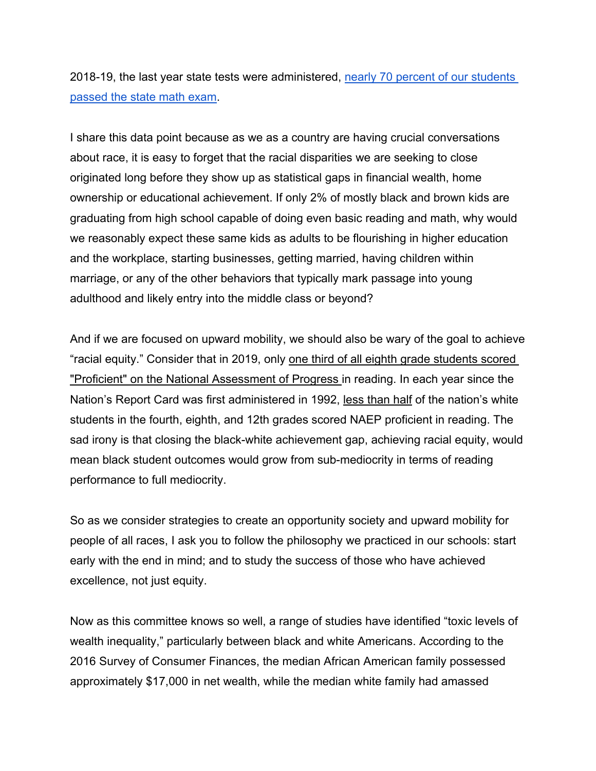2018-19, the last year state tests were administered, [nearly 70 percent of our students](https://data.nysed.gov/assessment38.php?subject=Mathematics&year=2019&instid=800000071084)  [passed the state math exam.](https://data.nysed.gov/assessment38.php?subject=Mathematics&year=2019&instid=800000071084)

I share this data point because as we as a country are having crucial conversations about race, it is easy to forget that the racial disparities we are seeking to close originated long before they show up as statistical gaps in financial wealth, home ownership or educational achievement. If only 2% of mostly black and brown kids are graduating from high school capable of doing even basic reading and math, why would we reasonably expect these same kids as adults to be flourishing in higher education and the workplace, starting businesses, getting married, having children within marriage, or any of the other behaviors that typically mark passage into young adulthood and likely entry into the middle class or beyond?

And if we are focused on upward mobility, we should also be wary of the goal to achieve "racial equity." Consider that in 2019, only [one third of all eighth grade students scored](https://www.nationsreportcard.gov/highlights/reading/2019/)  ["Proficient" on the National Assessment of Progress i](https://www.nationsreportcard.gov/highlights/reading/2019/)n reading. In each year since the Nation's Report Card was first administered in 1992, [less than half](https://nces.ed.gov/nationsreportcard/data/) of the nation's white students in the fourth, eighth, and 12th grades scored NAEP proficient in reading. The sad irony is that closing the black-white achievement gap, achieving racial equity, would mean black student outcomes would grow from sub-mediocrity in terms of reading performance to full mediocrity.

So as we consider strategies to create an opportunity society and upward mobility for people of all races, I ask you to follow the philosophy we practiced in our schools: start early with the end in mind; and to study the success of those who have achieved excellence, not just equity.

Now as this committee knows so well, a range of studies have identified "toxic levels of wealth inequality," particularly between black and white Americans. According to the 2016 Survey of Consumer Finances, the median African American family possessed approximately \$17,000 in net wealth, while the median white family had amassed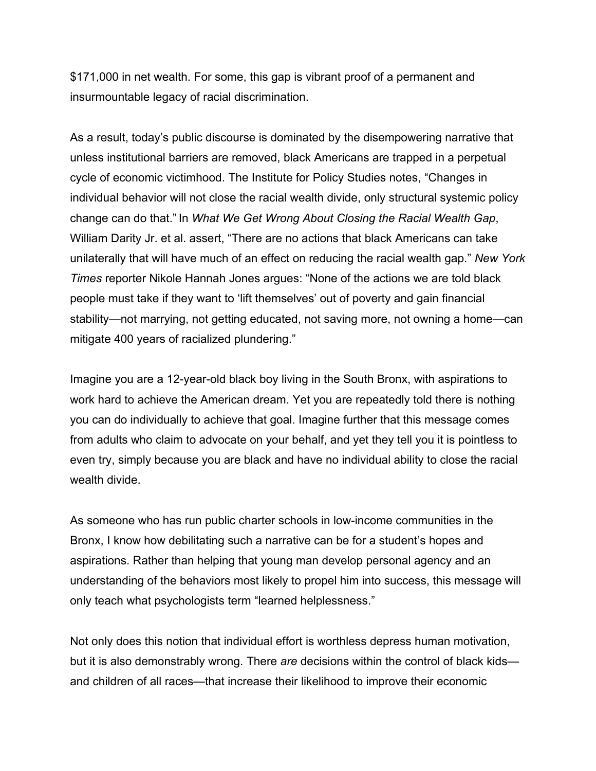\$171,000 in net wealth. For some, this gap is vibrant proof of a permanent and insurmountable legacy of racial discrimination.

As a result, today's public discourse is dominated by the disempowering narrative that unless institutional barriers are removed, black Americans are trapped in a perpetual cycle of economic victimhood. The Institute for Policy Studies notes, "Changes in individual behavior will not close the racial wealth divide, only structural systemic policy change can do that." In *What We Get Wrong About Closing the Racial Wealth Gap*, William Darity Jr. et al. assert, "There are no actions that black Americans can take unilaterally that will have much of an effect on reducing the racial wealth gap." *New York Times* reporter Nikole Hannah Jones argues: "None of the actions we are told black people must take if they want to 'lift themselves' out of poverty and gain financial stability—not marrying, not getting educated, not saving more, not owning a home—can mitigate 400 years of racialized plundering."

Imagine you are a 12-year-old black boy living in the South Bronx, with aspirations to work hard to achieve the American dream. Yet you are repeatedly told there is nothing you can do individually to achieve that goal. Imagine further that this message comes from adults who claim to advocate on your behalf, and yet they tell you it is pointless to even try, simply because you are black and have no individual ability to close the racial wealth divide.

As someone who has run public charter schools in low-income communities in the Bronx, I know how debilitating such a narrative can be for a student's hopes and aspirations. Rather than helping that young man develop personal agency and an understanding of the behaviors most likely to propel him into success, this message will only teach what psychologists term "learned helplessness."

Not only does this notion that individual effort is worthless depress human motivation, but it is also demonstrably wrong. There *are* decisions within the control of black kids and children of all races—that increase their likelihood to improve their economic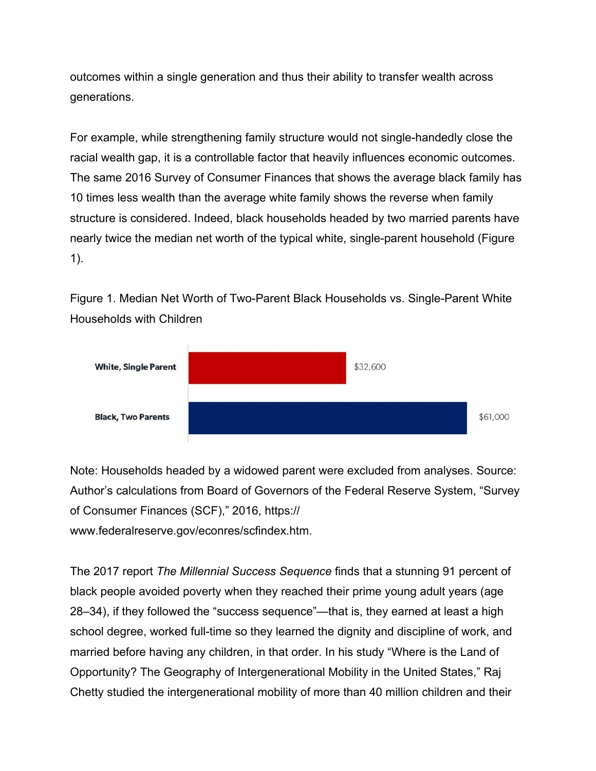outcomes within a single generation and thus their ability to transfer wealth across generations.

For example, while strengthening family structure would not single-handedly close the racial wealth gap, it is a controllable factor that heavily influences economic outcomes. The same 2016 Survey of Consumer Finances that shows the average black family has 10 times less wealth than the average white family shows the reverse when family structure is considered. Indeed, black households headed by two married parents have nearly twice the median net worth of the typical white, single-parent household (Figure 1).

Figure 1. Median Net Worth of Two-Parent Black Households vs. Single-Parent White Households with Children



Note: Households headed by a widowed parent were excluded from analyses. Source: Author's calculations from Board of Governors of the Federal Reserve System, "Survey of Consumer Finances (SCF)," 2016, https://

www.federalreserve.gov/econres/scfindex.htm.

The 2017 report *The Millennial Success Sequence* finds that a stunning 91 percent of black people avoided poverty when they reached their prime young adult years (age 28–34), if they followed the "success sequence"—that is, they earned at least a high school degree, worked full-time so they learned the dignity and discipline of work, and married before having any children, in that order. In his study "Where is the Land of Opportunity? The Geography of Intergenerational Mobility in the United States," Raj Chetty studied the intergenerational mobility of more than 40 million children and their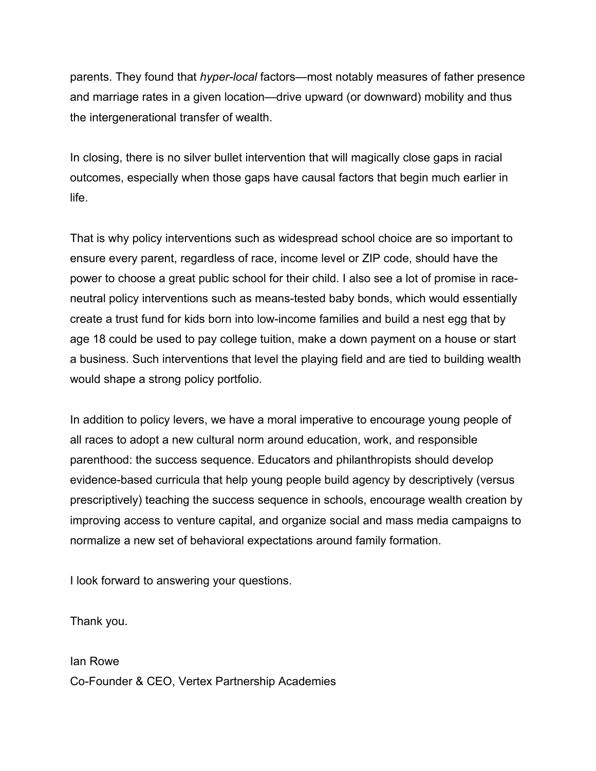parents. They found that *hyper-local* factors—most notably measures of father presence and marriage rates in a given location—drive upward (or downward) mobility and thus the intergenerational transfer of wealth.

In closing, there is no silver bullet intervention that will magically close gaps in racial outcomes, especially when those gaps have causal factors that begin much earlier in life.

That is why policy interventions such as widespread school choice are so important to ensure every parent, regardless of race, income level or ZIP code, should have the power to choose a great public school for their child. I also see a lot of promise in raceneutral policy interventions such as means-tested baby bonds, which would essentially create a trust fund for kids born into low-income families and build a nest egg that by age 18 could be used to pay college tuition, make a down payment on a house or start a business. Such interventions that level the playing field and are tied to building wealth would shape a strong policy portfolio.

In addition to policy levers, we have a moral imperative to encourage young people of all races to adopt a new cultural norm around education, work, and responsible parenthood: the success sequence. Educators and philanthropists should develop evidence-based curricula that help young people build agency by descriptively (versus prescriptively) teaching the success sequence in schools, encourage wealth creation by improving access to venture capital, and organize social and mass media campaigns to normalize a new set of behavioral expectations around family formation.

I look forward to answering your questions.

Thank you.

Ian Rowe Co-Founder & CEO, Vertex Partnership Academies